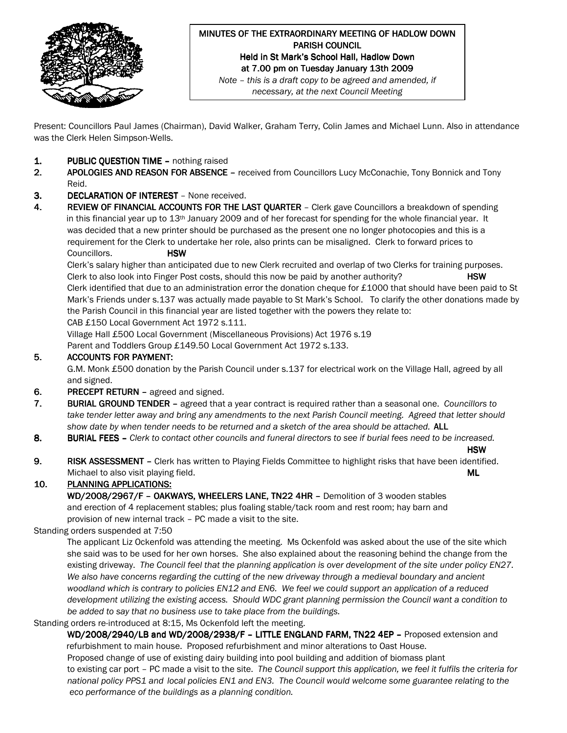

## MINUTES OF THE EXTRAORDINARY MEETING OF HADLOW DOWN **PARISH COUNCIL** Held in St Mark's School Hall, Hadlow Down at 7.00 pm on Tuesday January 13th 2009 Note – this is a draft copy to be agreed and amended, if

necessary, at the next Council Meeting

Present: Councillors Paul James (Chairman), David Walker, Graham Terry, Colin James and Michael Lunn. Also in attendance was the Clerk Helen Simpson-Wells.

- 1. **PUBLIC OUESTION TIME –** nothing raised
- 2. APOLOGIES AND REASON FOR ABSENCE received from Councillors Lucy McConachie, Tony Bonnick and Tony Reid.
- 3. DECLARATION OF INTEREST None received.
- 4. REVIEW OF FINANCIAL ACCOUNTS FOR THE LAST QUARTER Clerk gave Councillors a breakdown of spending in this financial year up to 13<sup>th</sup> January 2009 and of her forecast for spending for the whole financial year. It was decided that a new printer should be purchased as the present one no longer photocopies and this is a requirement for the Clerk to undertake her role, also prints can be misaligned. Clerk to forward prices to Councillors. **HSW**

 Clerk's salary higher than anticipated due to new Clerk recruited and overlap of two Clerks for training purposes. Clerk to also look into Finger Post costs, should this now be paid by another authority? HSW Clerk identified that due to an administration error the donation cheque for £1000 that should have been paid to St Mark's Friends under s.137 was actually made payable to St Mark's School. To clarify the other donations made by the Parish Council in this financial year are listed together with the powers they relate to: CAB £150 Local Government Act 1972 s.111.

Village Hall £500 Local Government (Miscellaneous Provisions) Act 1976 s.19

Parent and Toddlers Group £149.50 Local Government Act 1972 s.133.

## 5. ACCOUNTS FOR PAYMENT:

 G.M. Monk £500 donation by the Parish Council under s.137 for electrical work on the Village Hall, agreed by all and signed.

- 6. PRECEPT RETURN agreed and signed.
- 7. BURIAL GROUND TENDER agreed that a year contract is required rather than a seasonal one. Councillors to take tender letter away and bring any amendments to the next Parish Council meeting. Agreed that letter should show date by when tender needs to be returned and a sketch of the area should be attached. ALL
- 8. BURIAL FEES Clerk to contact other councils and funeral directors to see if burial fees need to be increased.
- has a structure of the control of the control of the control of the control of the control of the control of t
- 9. RISK ASSESSMENT Clerk has written to Playing Fields Committee to highlight risks that have been identified. Michael to also visit playing field. Museum of the set of the set of the set of the set of the set of the ML

10. PLANNING APPLICATIONS:

WD/2008/2967/F - OAKWAYS, WHEELERS LANE, TN22 4HR - Demolition of 3 wooden stables and erection of 4 replacement stables; plus foaling stable/tack room and rest room; hay barn and provision of new internal track – PC made a visit to the site.

#### Standing orders suspended at 7:50

 The applicant Liz Ockenfold was attending the meeting. Ms Ockenfold was asked about the use of the site which she said was to be used for her own horses. She also explained about the reasoning behind the change from the existing driveway. The Council feel that the planning application is over development of the site under policy EN27. We also have concerns regarding the cutting of the new driveway through a medieval boundary and ancient woodland which is contrary to policies EN12 and EN6. We feel we could support an application of a reduced development utilizing the existing access. Should WDC grant planning permission the Council want a condition to be added to say that no business use to take place from the buildings.

#### Standing orders re-introduced at 8:15, Ms Ockenfold left the meeting.

WD/2008/2940/LB and WD/2008/2938/F - LITTLE ENGLAND FARM, TN22 4EP - Proposed extension and refurbishment to main house. Proposed refurbishment and minor alterations to Oast House. Proposed change of use of existing dairy building into pool building and addition of biomass plant to existing car port – PC made a visit to the site. The Council support this application, we feel it fulfils the criteria for national policy PPS1 and local policies EN1 and EN3. The Council would welcome some guarantee relating to the eco performance of the buildings as a planning condition.